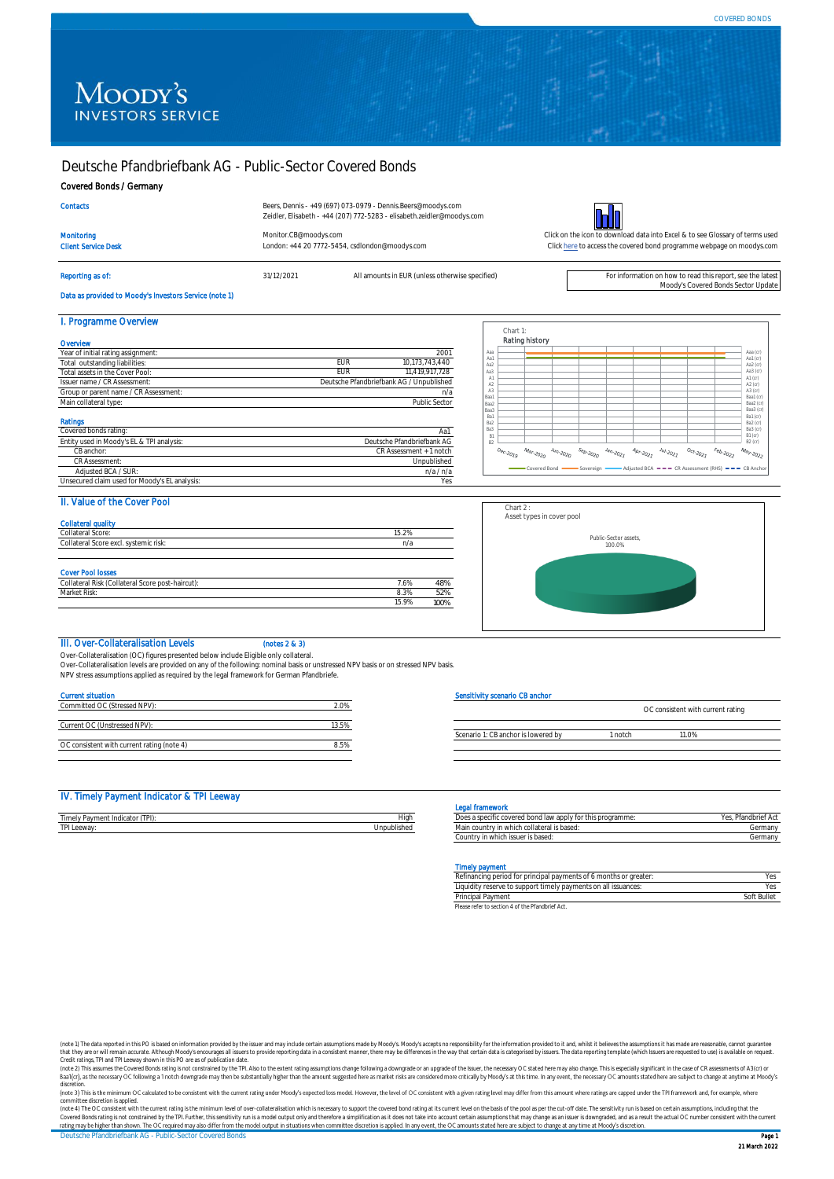# Moody's **INVESTORS SERVICE**

## Deutsche Pfandbriefbank AG - Public-Sector Covered Bonds

Client Service Desk London: +44 20 7772-5454, csdlondon@moodys.com

#### Covered Bonds / Germany

| <b>Contacts</b> |  |  |
|-----------------|--|--|
|                 |  |  |

Beers, Dennis - +49 (697) 073-0979 - Dennis.Beers@moodys.com Zeidler, Elisabeth - +44 (207) 772-5283 - elisabeth.zeidler@moodys.com

Reporting as of: **31/12/2021** All amounts in EUR (unless otherwise specified) For information on how to read this report, see the lates



[Monitor.CB@moodys.com](mailto:Monitor.CB@moodys.com) Click on the icon to download data into Excel & to see Glossary of terms used [Click here](https://www.moodys.com/credit-ratings/Deutsche-Pfandbriefbank-AG--PublicSector-Covered-Bonds-credit-rating-722573296) to access the covered bond programme webpage on moodys.com

Moody's Covered Bonds Sector Update

# Data as provided to Moody's Investors Service (note 1)

| I. Programme Overview                     |                                          |
|-------------------------------------------|------------------------------------------|
| Overvlew                                  |                                          |
| Year of initial rating assignment:        | 2001                                     |
| Total outstanding liabilities:            | EUR<br>10,173,743,440                    |
| Total assets in the Cover Pool:           | 11.419.917.728<br><b>EUR</b>             |
| Issuer name / CR Assessment:              | Deutsche Pfandbriefbank AG / Unpublished |
| Group or parent name / CR Assessment:     | n/a                                      |
| Main collateral type:                     | Public Sector                            |
| <b>Ratings</b>                            |                                          |
| Covered bonds rating:                     | Aa1                                      |
| Entity used in Moody's EL & TPI analysis: | Deutsche Pfandbriefbank AG               |
| CB anchor:                                | CR Assessment + 1 notch                  |
| CR Assessment:                            | Unpublished                              |
| Adjusted BCA / SUR:                       | n/a/n/a                                  |

| Aaa            |                       |                                      |                        |                         |                                                                 |                                                                   |                                                  |                                            |                  | Aaa (cr)                 |
|----------------|-----------------------|--------------------------------------|------------------------|-------------------------|-----------------------------------------------------------------|-------------------------------------------------------------------|--------------------------------------------------|--------------------------------------------|------------------|--------------------------|
| Aa1            |                       |                                      |                        |                         |                                                                 |                                                                   |                                                  |                                            |                  | Aa1 $($ cr $)$           |
| Aa2            |                       |                                      |                        |                         |                                                                 |                                                                   |                                                  |                                            |                  | Aa2 (cr)                 |
| Aa3            |                       |                                      |                        |                         |                                                                 |                                                                   |                                                  |                                            |                  | Aa $3$ (cr)              |
| A1             |                       |                                      |                        |                         |                                                                 |                                                                   |                                                  |                                            |                  | A1(cr)                   |
| A <sub>2</sub> |                       |                                      |                        |                         |                                                                 |                                                                   |                                                  |                                            |                  | A2 (cr)                  |
| A3             |                       |                                      |                        |                         |                                                                 |                                                                   |                                                  |                                            |                  | A3 (cr)                  |
| Baa1           |                       |                                      |                        |                         |                                                                 |                                                                   |                                                  |                                            |                  | Baa1 (cr)                |
| Baa2           |                       |                                      |                        |                         |                                                                 |                                                                   |                                                  |                                            |                  | Baa2 (cr)                |
| Baa3           |                       |                                      |                        |                         |                                                                 |                                                                   |                                                  |                                            |                  | Ваа3 (сг)                |
| Ba1            |                       |                                      |                        |                         |                                                                 |                                                                   |                                                  |                                            |                  | Ba1 (cr)                 |
| Ba2            |                       |                                      |                        |                         |                                                                 |                                                                   |                                                  |                                            |                  | Ba2 (cr)                 |
| Ba3            |                       |                                      |                        |                         |                                                                 |                                                                   |                                                  |                                            |                  | Ba3 (cr)                 |
| R1             |                       |                                      |                        |                         |                                                                 |                                                                   |                                                  |                                            |                  | $B1$ (cr)                |
| <b>B2</b>      |                       |                                      |                        |                         |                                                                 |                                                                   |                                                  |                                            |                  | $B2$ (cr)                |
|                | $o_{e_{C\cdot 20lg}}$ | $\mathcal{M}_{\partial r\cdot 2020}$ | $\frac{J_{U_1}}{2000}$ | $s_{e\rho\text{-}2020}$ | $J_{\partial \eta \cdot \mathcal{Z} Q \mathcal{Z} \mathcal{I}}$ | $\mathcal{A}_{D \wedge \cdot \geq 0_{\mathcal{Z}_{\mathcal{J}}}}$ | $\ensuremath{\mathit{J}_{U/L_{20}}}\xspace_{02}$ | $o_{c_{\tilde{t}} \cdot 202 \tilde{\ell}}$ | $F_{e_{b,2022}}$ | $M_{a_{y_{22_{0_{2}}}}}$ |

#### II. Value of the Cover Pool

Unsecured claim used for Moody's EL analysis

| Collateral Score:                                                            | 15.2% |     |
|------------------------------------------------------------------------------|-------|-----|
| Collateral Score excl. systemic risk:                                        | n/a   |     |
|                                                                              |       |     |
|                                                                              |       |     |
|                                                                              |       |     |
| <b>Cover Pool losses</b><br>Collateral Risk (Collateral Score post-haircut): | 7.6%  | 48% |
| Market Risk:                                                                 | 8.3%  | 52% |



### III. Over-Collateralisation Levels (notes 2 & 3)

Over-Collateralisation (OC) figures presented below include Eligible only collateral. Over-Collateralisation levels are provided on any of the following: nominal basis or unstressed NPV basis or on stressed NPV basis.

NPV stress assumptions applied as required by the legal framework for German Pfandbriefe.

#### Current situation

| Committed OC (Stressed NPV):               |     |
|--------------------------------------------|-----|
|                                            |     |
| Current OC (Unstressed NPV):               |     |
|                                            |     |
| OC consistent with current rating (note 4) | 85% |

#### Sensitivity scenario CB anchor

|                                     |         | OC consistent with current rating |  |
|-------------------------------------|---------|-----------------------------------|--|
|                                     |         |                                   |  |
| Scenario 1: CB anchor is lowered by | l notch | 10%                               |  |
|                                     |         |                                   |  |

#### IV. Timely Payment Indicator & TPI Leeway

|                                                   |             | τπαπονυκ                                                                    |                            |
|---------------------------------------------------|-------------|-----------------------------------------------------------------------------|----------------------------|
| (TPI)<br><sup>p</sup> avment Indicator<br>rimely. | Higi        | v for this programme:<br>s a specific covered bond-<br>I law apply          | $DC -$<br>-таповтег<br>. ت |
| TPI Leeway:                                       | Unpublished | in which collateral is based.<br>0015<br>intru<br>ividili<br><b>COULTIL</b> | orman.<br>uer              |

#### Legal framework

| Does a specific covered bond law apply for this programme: | Yes, Pfandbrief Act |
|------------------------------------------------------------|---------------------|
| Main country in which collateral is based:                 | Germany             |
| Country in which issuer is based:                          | Germany             |

#### aly nay

| .                                                                 |             |
|-------------------------------------------------------------------|-------------|
| Refinancing period for principal payments of 6 months or greater: | Yes         |
| Liquidity reserve to support timely payments on all issuances:    | Yes.        |
| Principal Payment                                                 | Soft Bullet |
| Disconsider to continue 4 of the Disorderial Anti                 |             |

refer to section 4 of the Pfa

(note 1) The data reported in this PO is based on information provided by the issuer and may include certain assumptions made by Moody's Moody's accepts no responsibility for the information provided to it and, whilst it b that they are or will remain accurate. Although Moody's encourages all issuers to provide reporting data in a consistent manner, there may be differences in the way that certain data is categorised by issues. The data repo

discretion.

committee discretion is applied.<br>(note 4) The OC consistent with the current rating is the minimum level of over-collateralisation which is necessary to support the covered bond rating at its current level on the basis of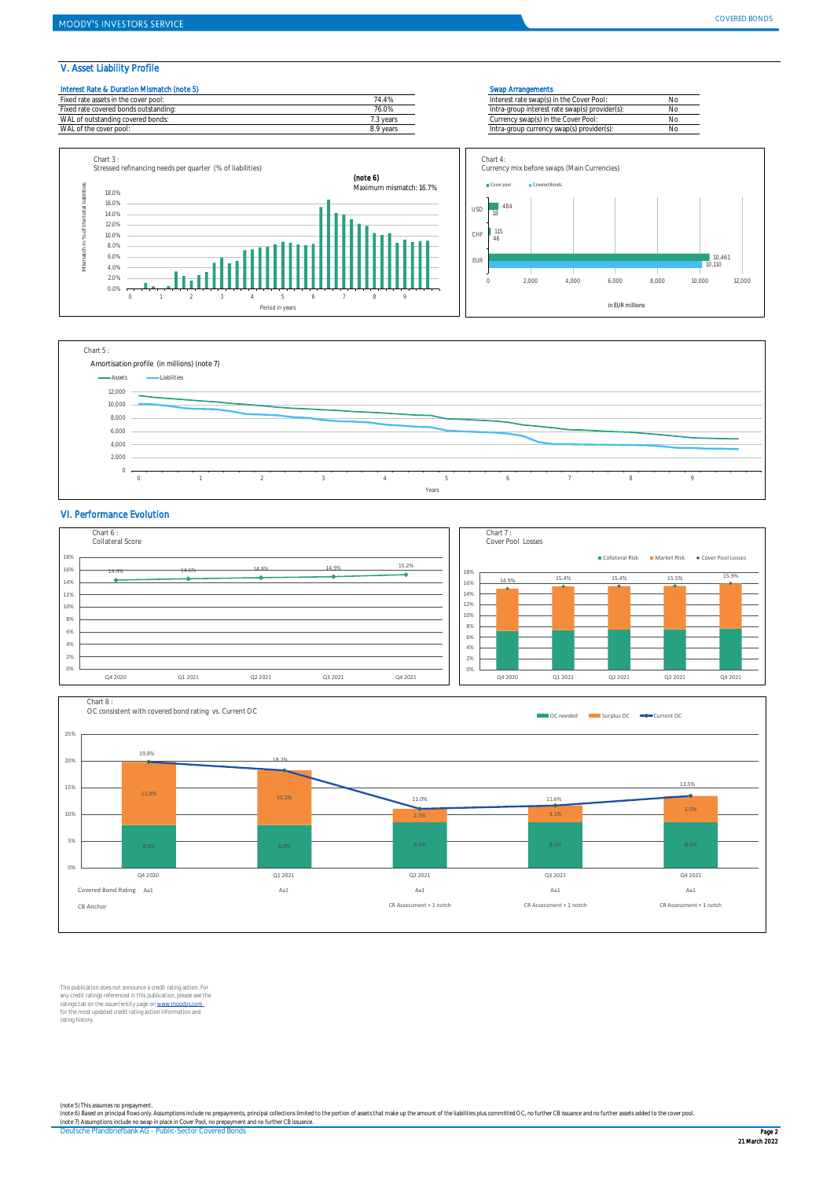V. Asset Liability Profile









#### VI. Performance Evolution





This publication does not announce a credit rating action. For any credit ratings referenced in this publication, please see the<br>ratings tab on the issuer/entity page on <u>www.moodys.com .</u><br>for the most updated credit rating action information and rating history.

(note 5) This assumes no prepayment.<br>(note 6) Based on principal flows only. Assumptions include no prepayments, principal collections limited to the portion of assets that make up the amount of the liabilities plus commit

Deutsche Pfandbriefbank AG - Public-Sector Covered Bonds Page 2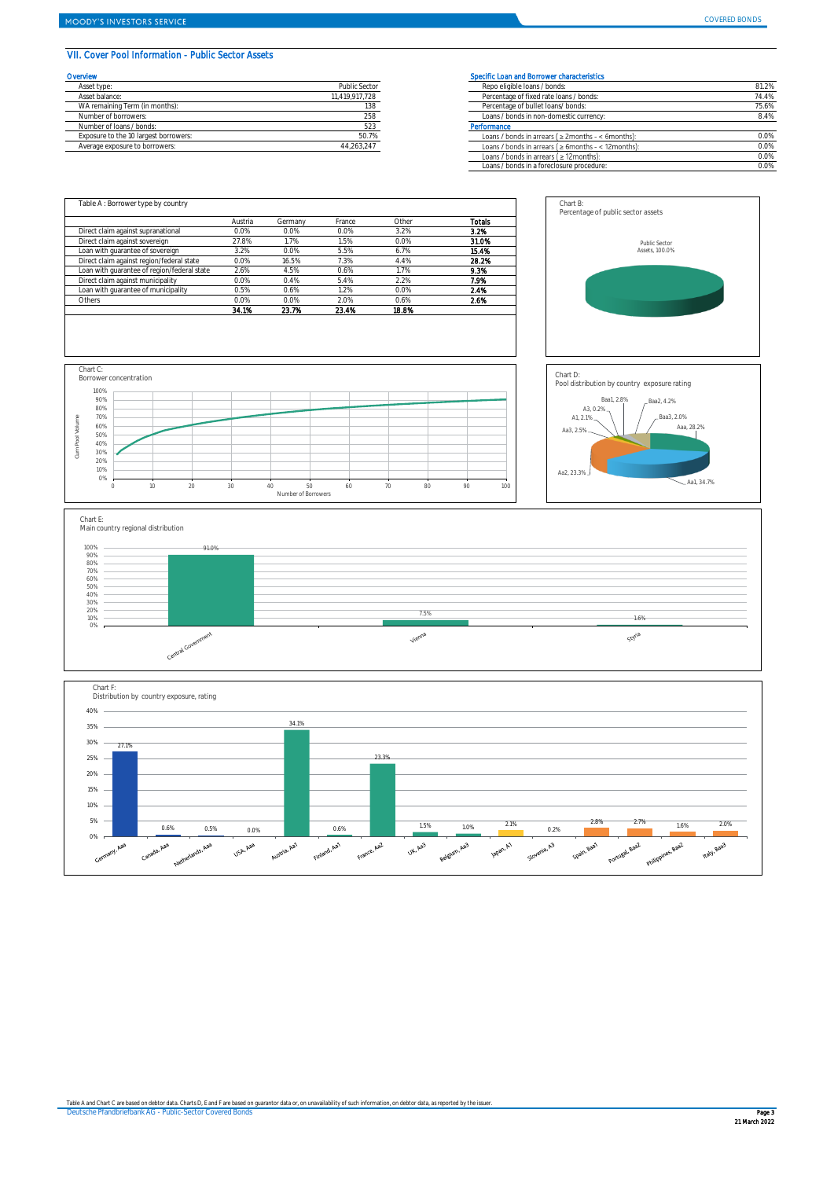### VII. Cover Pool Information - Public Sector Assets

| Overvlew                              |                | Specific Loan and Borrower characteristics     |
|---------------------------------------|----------------|------------------------------------------------|
| Asset type:                           | Public Sector  | Repo eligible loans / bonds:                   |
| Asset balance:                        | 11.419.917.728 | Percentage of fixed rate loans / bonds:        |
| WA remaining Term (in months):        | 138            | Percentage of bullet loans/ bonds:             |
| Number of borrowers:                  | 258            | Loans / bonds in non-domestic currency         |
| Number of loans / bonds:              | 523            | Performance                                    |
| Exposure to the 10 largest borrowers: | 50.7%          | Loans / bonds in arrears ( $\geq$ 2 months - < |
| Average exposure to borrowers:        | 44.263.247     | Loans / bonds in arrears (> 6months - <        |

| Specific Loan and Borrower characteristics                 |       |
|------------------------------------------------------------|-------|
| Repo eligible loans / bonds:                               | 81.2% |
| Percentage of fixed rate loans / bonds:                    | 74.4% |
| Percentage of bullet loans/ bonds:                         | 75.6% |
| Loans / bonds in non-domestic currency:                    | 8.4%  |
| Performance                                                |       |
| Loans / bonds in arrears ( $\geq$ 2months - < 6months):    | 0.0%  |
| Loans / bonds in arrears ( $\geq 6$ months - < 12 months): | 0.0%  |
| Loans / bonds in arrears $( \geq 12$ months):              | 0.0%  |
| Loans / bonds in a foreclosure procedure:                  | 0.0%  |
|                                                            |       |

Chart B: Percentage of public sector assets

Aa2, 23.3%

Aa3, 2.5% A3, 0.2%<br>A1, 2.1%

Chart D:

Public Sector Assets, 100.0%

Baa1, 2.8% Baa2, 4.2%

Pool distribution by country exposure rating

Aaa, 28

Baa3, 2.0%

 $-$  Aa1, 34.7%

|                                             | Austria | Germany | France | Other | Totals |
|---------------------------------------------|---------|---------|--------|-------|--------|
| Direct claim against supranational          | 0.0%    | 0.0%    | 0.0%   | 3.2%  | 3.2%   |
| Direct claim against sovereign              | 27.8%   | 1.7%    | 1.5%   | 0.0%  | 31.0%  |
| Loan with quarantee of sovereign            | 3.2%    | 0.0%    | 5.5%   | 6.7%  | 15.4%  |
| Direct claim against region/federal state   | 0.0%    | 16.5%   | 7.3%   | 4.4%  | 28.2%  |
| Loan with quarantee of region/federal state | 2.6%    | 4.5%    | 0.6%   | 1.7%  | 9.3%   |
| Direct claim against municipality           | 0.0%    | 0.4%    | 5.4%   | 2.2%  | 7.9%   |
| Loan with quarantee of municipality         | 0.5%    | 0.6%    | 1.2%   | 0.0%  | 2.4%   |
| Others                                      | 0.0%    | 0.0%    | 2.0%   | 0.6%  | 2.6%   |
|                                             | 34.1%   | 23.7%   | 23.4%  | 18.8% |        |





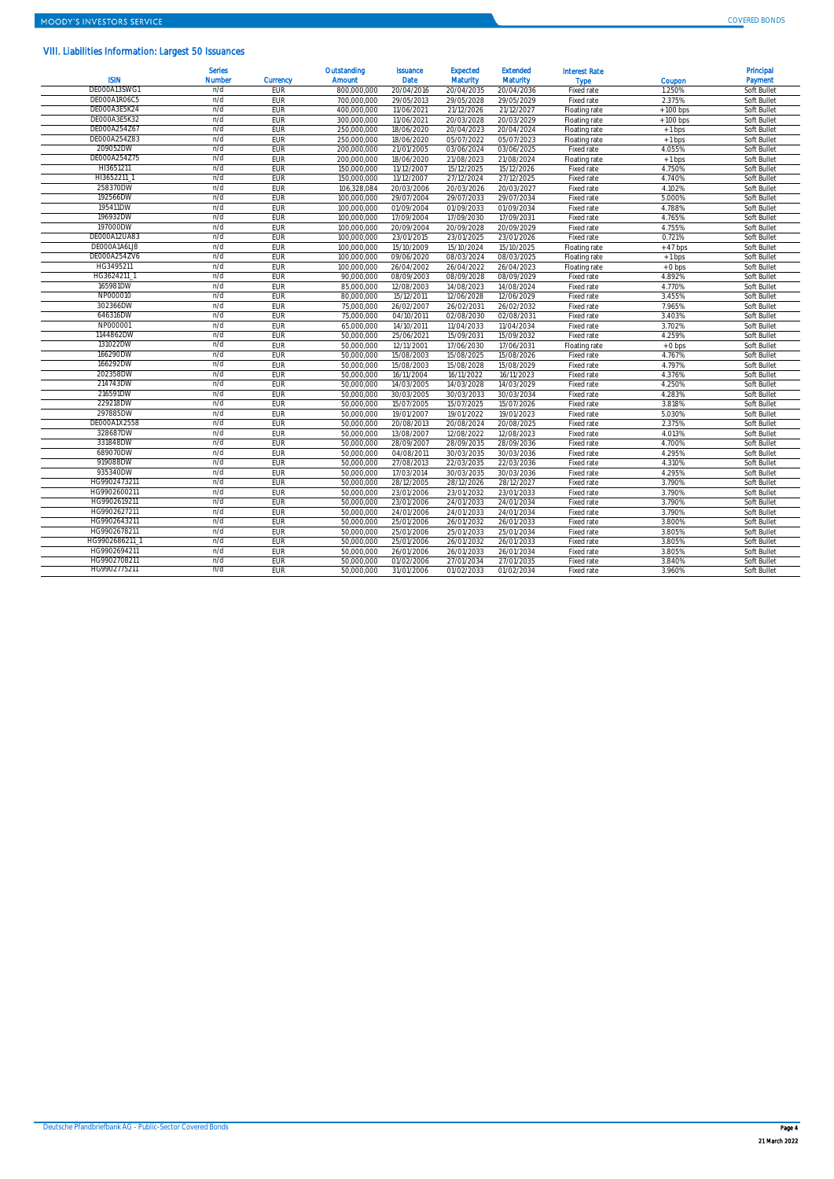### VIII. Liabilities Information: Largest 50 Issuances

| <b>ISIN</b>              | <b>Serles</b><br>Number | <b>Currency</b> | Outstanding<br>Amount    | <b>Issuance</b><br>Date | <b>Expected</b><br><b>Maturity</b> | <b>Extended</b><br><b>Maturity</b> | <b>Interest Rate</b><br><b>Type</b> | Coupon     | Principal<br>Payment       |
|--------------------------|-------------------------|-----------------|--------------------------|-------------------------|------------------------------------|------------------------------------|-------------------------------------|------------|----------------------------|
| DE000A13SWG1             | n/d                     | EUR             | 800.000.000              | 20/04/2016              | 20/04/2035                         | 20/04/2036                         | Fixed rate                          | 1.250%     | Soft Bullet                |
| DE000A1R06C5             | n/d                     | EUR             | 700.000.000              | 29/05/2013              | 29/05/2028                         | 29/05/2029                         | Fixed rate                          | 2.375%     | Soft Bullet                |
| DE000A3E5K24             | n/d                     | EUR             | 400.000.000              | 11/06/2021              | 21/12/2026                         | 21/12/2027                         | Floating rate                       | $+100$ bps | Soft Bullet                |
| DE000A3E5K32             | n/d                     | EUR             | 300.000.000              | 11/06/2021              | 20/03/2028                         | 20/03/2029                         | Floating rate                       | $+100$ bps | Soft Bullet                |
| DE000A254Z67             | n/d                     | <b>FUR</b>      | 250.000.000              | 18/06/2020              | 20/04/2023                         | 20/04/2024                         | Floating rate                       | $+1$ bps   | Soft Bullet                |
| DE000A254Z83             | n/d                     | EUR             | 250.000.000              | 18/06/2020              | 05/07/2022                         | 05/07/2023                         | Floating rate                       | $+1$ bps   | Soft Bullet                |
| 209052DW                 | n/d                     | EUR             | 200.000.000              | 21/01/2005              | 03/06/2024                         | 03/06/2025                         | Fixed rate                          | 4.055%     | Soft Bullet                |
| DE000A254Z75             | n/d                     | EUR             | 200.000.000              | 18/06/2020              | 21/08/2023                         | 21/08/2024                         | Floating rate                       | $+1$ bps   | Soft Bullet                |
| HI3651211                | n/d                     | EUR             | 150.000.000              | 11/12/2007              | 15/12/2025                         | 15/12/2026                         | Fixed rate                          | 4.750%     | Soft Bullet                |
| HI3652211                | n/d                     | EUR             | 150.000.000              | 11/12/2007              | 27/12/2024                         | 27/12/2025                         | Fixed rate                          | 4.740%     | Soft Bullet                |
| 258370DW                 | n/d                     | <b>FUR</b>      | 106,328,084              | 20/03/2006              | 20/03/2026                         | 20/03/2027                         | Fixed rate                          | 4.102%     | Soft Bullet                |
| 192566DW                 | n/d                     | EUR             | 100.000.000              | 29/07/2004              | 29/07/2033                         | 29/07/2034                         | Fixed rate                          | 5.000%     | Soft Bullet                |
| 195411DW                 | n/d                     | <b>EUR</b>      | 100.000.000              | 01/09/2004              | 01/09/2033                         | 01/09/2034                         | Fixed rate                          | 4.788%     | Soft Bullet                |
| 196932DW                 | n/d                     | EUR             | 100,000,000              | 17/09/2004              | 17/09/2030                         | 17/09/2031                         | Fixed rate                          | 4.765%     | Soft Bullet                |
| 197000DW                 | n/d                     | EUR             | 100.000.000              | 20/09/2004              | 20/09/2028                         | 20/09/2029                         | Fixed rate                          | 4.755%     | Soft Bullet                |
| DE000A12UA83             | n/d                     | EUR             | 100.000.000              | 23/01/2015              | 23/01/2025                         | 23/01/2026                         | Fixed rate                          | 0.721%     | Soft Bullet                |
| DE000A1A6LJ8             | n/d                     | EUR             | 100,000,000              | 15/10/2009              | 15/10/2024                         | 15/10/2025                         | Floating rate                       | $+47$ bps  | Soft Bullet                |
| DE000A254ZV6             | n/d                     | EUR             | 100,000,000              | 09/06/2020              | 08/03/2024                         | 08/03/2025                         | Floating rate                       | $+1$ bps   | Soft Bullet                |
| HG3495211                | n/d                     | EUR             | 100.000.000              | 26/04/2002              | 26/04/2022                         | 26/04/2023                         | Floating rate                       | $+0$ bps   | Soft Bullet                |
| HG3624211                | n/d                     | EUR             | 90.000.000               | 08/09/2003              | 08/09/2028                         | 08/09/2029                         | Fixed rate                          | 4.892%     | Soft Bullet                |
| 165981DW                 | n/d                     | EUR             | 85.000.000               | 12/08/2003              | 14/08/2023                         | 14/08/2024                         | Fixed rate                          | 4.770%     | Soft Bullet                |
| NP000010                 | n/d                     | EUR             | 80.000.000               | 15/12/2011              | 12/06/2028                         | 12/06/2029                         | Fixed rate                          | 3.455%     | Soft Bullet                |
| 302366DW                 | n/d                     | EUR             | 75.000.000               | 26/02/2007              | 26/02/2031                         | 26/02/2032                         | Fixed rate                          | 7.965%     | Soft Bullet                |
| 646316DW                 | n/d                     | <b>FUR</b>      | 75.000.000               | 04/10/2011              | 02/08/2030                         | 02/08/2031                         | Fixed rate                          | 3.403%     | Soft Bullet                |
| NP000001                 | n/d                     | EUR             | 65.000.000               | 14/10/2011              | 11/04/2033                         | 11/04/2034                         | Fixed rate                          | 3.702%     | Soft Bullet                |
| 1144862DW                | n/d                     | EUR             | 50.000.000               | 25/06/2021              | 15/09/2031                         | 15/09/2032                         | Fixed rate                          | 4.259%     | Soft Bullet                |
| 131022DW                 | n/d                     | EUR             | 50.000.000               | 12/11/2001              | 17/06/2030                         | 17/06/2031                         | Floating rate                       | $+0$ bps   | Soft Bullet                |
| 166290DW                 | n/d                     | EUR             | 50.000.000               | 15/08/2003              | 15/08/2025                         | 15/08/2026                         |                                     | 4.767%     | Soft Bullet                |
| 166292DW                 | n/d                     | <b>EUR</b>      |                          |                         |                                    | 15/08/2029                         | Fixed rate                          | 4.797%     | Soft Bullet                |
| 202358DW                 | n/d                     | <b>FUR</b>      | 50,000,000<br>50.000.000 | 15/08/2003              | 15/08/2028                         | 16/11/2023                         | Fixed rate<br>Fixed rate            | 4.376%     | Soft Bullet                |
| 214743DW                 | n/d                     | EUR             | 50.000.000               | 16/11/2004              | 16/11/2022                         |                                    |                                     |            |                            |
| 216591DW                 | n/d                     | EUR             |                          | 14/03/2005              | 14/03/2028                         | 14/03/2029                         | Fixed rate                          | 4.250%     | Soft Bullet                |
| 229218DW                 | n/d                     | EUR             | 50.000.000<br>50.000.000 | 30/03/2005              | 30/03/2033                         | 30/03/2034                         | Fixed rate                          | 4.283%     | Soft Bullet                |
| 297885DW                 | n/d                     |                 |                          | 15/07/2005              | 15/07/2025                         | 15/07/2026                         | Fixed rate                          | 3.818%     | Soft Bullet                |
|                          | n/d                     | EUR             | 50.000.000               | 19/01/2007              | 19/01/2022                         | 19/01/2023                         | Fixed rate                          | 5.030%     | Soft Bullet                |
| DE000A1X2558<br>328687DW | n/d                     | EUR<br>EUR      | 50.000.000               | 20/08/2013              | 20/08/2024                         | 20/08/2025                         | Fixed rate                          | 2.375%     | Soft Bullet<br>Soft Bullet |
| 331848DW                 | n/d                     |                 | 50.000.000               | 13/08/2007              | 12/08/2022                         | 12/08/2023                         | Fixed rate                          | 4.013%     |                            |
| 689070DW                 | n/d                     | EUR             | 50.000.000               | 28/09/2007              | 28/09/2035                         | 28/09/2036                         | Fixed rate                          | 4.700%     | Soft Bullet                |
|                          |                         | EUR             | 50.000.000               | 04/08/2011              | 30/03/2035                         | 30/03/2036                         | Fixed rate                          | 4.295%     | Soft Bullet                |
| 919088DW                 | n/d                     | EUR             | 50.000.000               | 27/08/2013              | 22/03/2035                         | 22/03/2036                         | Fixed rate                          | 4.310%     | Soft Bullet                |
| 935340DW                 | n/d                     | EUR             | 50.000.000               | 17/03/2014              | 30/03/2035                         | 30/03/2036                         | Fixed rate                          | 4.295%     | Soft Bullet                |
| HG9902473211             | n/d                     | EUR             | 50.000.000               | 28/12/2005              | 28/12/2026                         | 28/12/2027                         | Fixed rate                          | 3.790%     | Soft Bullet                |
| HG9902600211             | n/d                     | EUR             | 50.000.000               | 23/01/2006              | 23/01/2032                         | 23/01/2033                         | Fixed rate                          | 3.790%     | Soft Bullet                |
| HG9902619211             | n/d                     | <b>FUR</b>      | 50.000.000               | 23/01/2006              | 24/01/2033                         | 24/01/2034                         | Fixed rate                          | 3.790%     | Soft Bullet                |
| HG9902627211             | n/d                     | EUR             | 50.000.000               | 24/01/2006              | 24/01/2033                         | 24/01/2034                         | Fixed rate                          | 3.790%     | Soft Bullet                |
| HG9902643211             | n/d                     | EUR             | 50.000.000               | 25/01/2006              | 26/01/2032                         | 26/01/2033                         | Fixed rate                          | 3.800%     | Soft Bullet                |
| HG9902678211             | n/d                     | EUR             | 50.000.000               | 25/01/2006              | 25/01/2033                         | 25/01/2034                         | Fixed rate                          | 3.805%     | Soft Bullet                |
| HG9902686211             | n/d                     | <b>EUR</b>      | 50.000.000               | 25/01/2006              | 26/01/2032                         | 26/01/2033                         | Fixed rate                          | 3.805%     | Soft Bullet                |
| HG9902694211             | n/d                     | EUR             | 50.000.000               | 26/01/2006              | 26/01/2033                         | 26/01/2034                         | Fixed rate                          | 3.805%     | Soft Bullet                |
| HG9902708211             | n/d                     | <b>FUR</b>      | 50.000.000               | 01/02/2006              | 27/01/2034                         | 27/01/2035                         | Fixed rate                          | 3.840%     | Soft Bullet                |
| HG9902775211             | n/d                     | EUR             | 50.000.000               | 31/01/2006              | $\overline{01}/02/2033$            | 01/02/2034                         | Fixed rate                          | 3.960%     | Soft Bullet                |